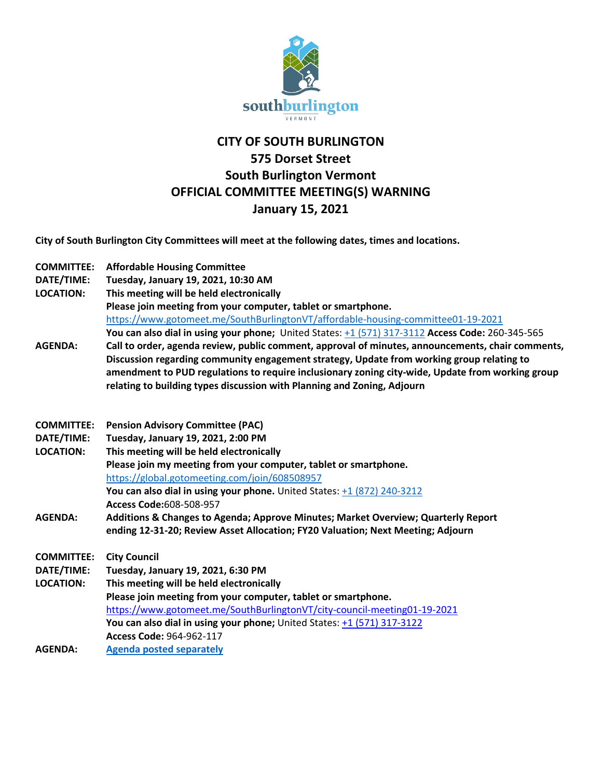

## **CITY OF SOUTH BURLINGTON 575 Dorset Street South Burlington Vermont OFFICIAL COMMITTEE MEETING(S) WARNING January 15, 2021**

**City of South Burlington City Committees will meet at the following dates, times and locations.** 

| <b>COMMITTEE:</b> | <b>Affordable Housing Committee</b>                                                               |
|-------------------|---------------------------------------------------------------------------------------------------|
| DATE/TIME:        | Tuesday, January 19, 2021, 10:30 AM                                                               |
| <b>LOCATION:</b>  | This meeting will be held electronically                                                          |
|                   | Please join meeting from your computer, tablet or smartphone.                                     |
|                   | https://www.gotomeet.me/SouthBurlingtonVT/affordable-housing-committee01-19-2021                  |
|                   | You can also dial in using your phone; United States: +1 (571) 317-3112 Access Code: 260-345-565  |
| <b>AGENDA:</b>    | Call to order, agenda review, public comment, approval of minutes, announcements, chair comments, |
|                   | Discussion regarding community engagement strategy, Update from working group relating to         |
|                   | amendment to PUD regulations to require inclusionary zoning city-wide, Update from working group  |
|                   | relating to building types discussion with Planning and Zoning, Adjourn                           |
|                   |                                                                                                   |
| <b>COMMITTEE:</b> | <b>Pension Advisory Committee (PAC)</b>                                                           |
| DATE/TIME:        | Tuesday, January 19, 2021, 2:00 PM                                                                |
| <b>LOCATION:</b>  | This meeting will be held electronically                                                          |
|                   | Please join my meeting from your computer, tablet or smartphone.                                  |
|                   | https://global.gotomeeting.com/join/608508957                                                     |
|                   | You can also dial in using your phone. United States: $+1$ (872) 240-3212                         |
|                   | Access Code:608-508-957                                                                           |
| <b>AGENDA:</b>    | Additions & Changes to Agenda; Approve Minutes; Market Overview; Quarterly Report                 |
|                   | ending 12-31-20; Review Asset Allocation; FY20 Valuation; Next Meeting; Adjourn                   |
|                   |                                                                                                   |
| <b>COMMITTEE:</b> | <b>City Council</b>                                                                               |
| DATE/TIME:        | Tuesday, January 19, 2021, 6:30 PM                                                                |
| <b>LOCATION:</b>  | This meeting will be held electronically                                                          |
|                   | Please join meeting from your computer, tablet or smartphone.                                     |
|                   | https://www.gotomeet.me/SouthBurlingtonVT/city-council-meeting01-19-2021                          |
|                   | You can also dial in using your phone; United States: +1 (571) 317-3122                           |
|                   | Access Code: 964-962-117                                                                          |
| <b>AGENDA:</b>    | <b>Agenda posted separately</b>                                                                   |
|                   |                                                                                                   |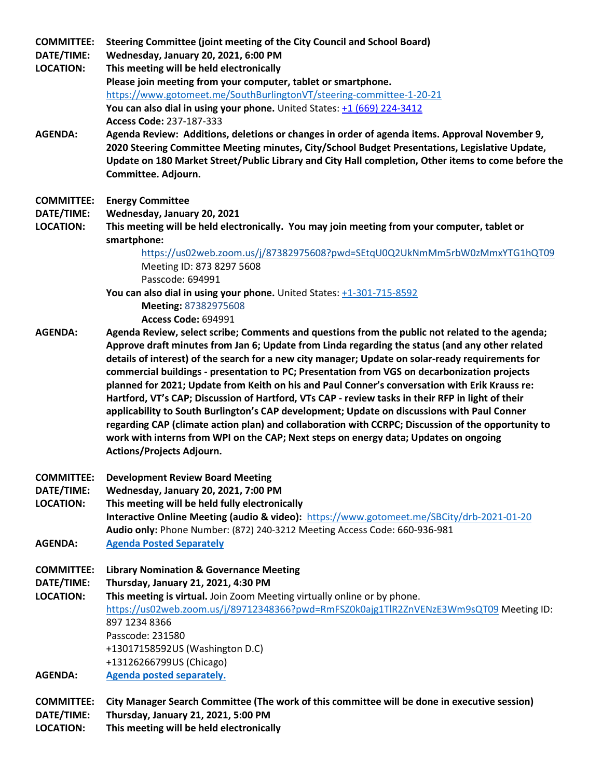**COMMITTEE: Steering Committee (joint meeting of the City Council and School Board)**

**DATE/TIME: Wednesday, January 20, 2021, 6:00 PM**

- **LOCATION: This meeting will be held electronically Please join meeting from your computer, tablet or smartphone.**  <https://www.gotomeet.me/SouthBurlingtonVT/steering-committee-1-20-21> You can also dial in using your phone. United States: [+1 \(669\) 224-3412](tel:+16692243412,,237187333) **Access Code:** 237-187-333
- **AGENDA: Agenda Review: Additions, deletions or changes in order of agenda items. Approval November 9, 2020 Steering Committee Meeting minutes, City/School Budget Presentations, Legislative Update, Update on 180 Market Street/Public Library and City Hall completion, Other items to come before the Committee. Adjourn.**
- **COMMITTEE: Energy Committee**
- **DATE/TIME: Wednesday, January 20, 2021**
- **LOCATION: This meeting will be held electronically. You may join meeting from your computer, tablet or smartphone:**

<https://us02web.zoom.us/j/87382975608?pwd=SEtqU0Q2UkNmMm5rbW0zMmxYTG1hQT09> Meeting ID: 873 8297 5608 Passcode: 694991

**You can also dial in using your phone.** United States: +1-301-715-8592

**Meeting:** 87382975608

**Access Code:** 694991

- **AGENDA: Agenda Review, select scribe; Comments and questions from the public not related to the agenda; Approve draft minutes from Jan 6; Update from Linda regarding the status (and any other related details of interest) of the search for a new city manager; Update on solar-ready requirements for commercial buildings - presentation to PC; Presentation from VGS on decarbonization projects planned for 2021; Update from Keith on his and Paul Conner's conversation with Erik Krauss re: Hartford, VT's CAP; Discussion of Hartford, VTs CAP - review tasks in their RFP in light of their applicability to South Burlington's CAP development; Update on discussions with Paul Conner regarding CAP (climate action plan) and collaboration with CCRPC; Discussion of the opportunity to work with interns from WPI on the CAP; Next steps on energy data; Updates on ongoing Actions/Projects Adjourn.**
- **COMMITTEE: Development Review Board Meeting**
- **DATE/TIME: Wednesday, January 20, 2021, 7:00 PM**

**LOCATION: This meeting will be held fully electronically Interactive Online Meeting (audio & video):** <https://www.gotomeet.me/SBCity/drb-2021-01-20> **Audio only:** Phone Number: (872) 240-3212 Meeting Access Code: 660-936-981

- **AGENDA: [Agenda Posted Separately](http://sbvt-records.info/WebLink/ElectronicFile.aspx?docid=208531&dbid=0&repo=sburl)**
- **COMMITTEE: Library Nomination & Governance Meeting**

## **DATE/TIME: Thursday, January 21, 2021, 4:30 PM**

- **LOCATION: This meeting is virtual.** Join Zoom Meeting virtually online or by phone. <https://us02web.zoom.us/j/89712348366?pwd=RmFSZ0k0ajg1TlR2ZnVENzE3Wm9sQT09> Meeting ID: 897 1234 8366 Passcode: 231580 +13017158592US (Washington D.C) +13126266799US (Chicago) **AGENDA: [Agenda posted separately.](http://sbvt-records.info/WebLink/ElectronicFile.aspx?docid=208582&dbid=0&repo=sburl)**
- 

**COMMITTEE: City Manager Search Committee (The work of this committee will be done in executive session) DATE/TIME: Thursday, January 21, 2021, 5:00 PM LOCATION: This meeting will be held electronically**